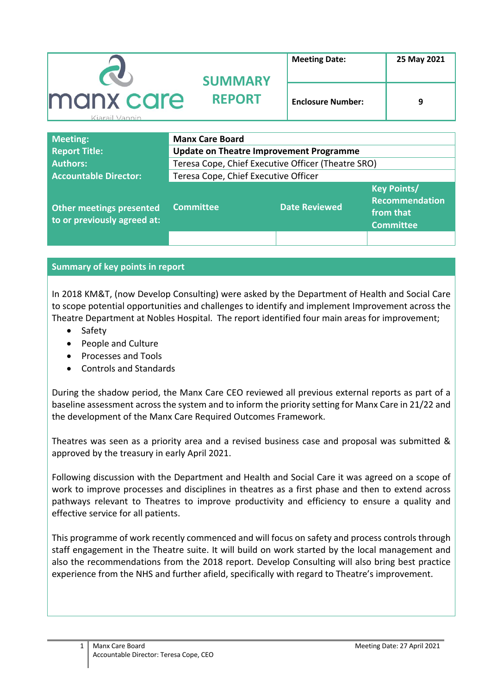| <b>CO</b>                          | <b>SUMMARY</b> | <b>Meeting Date:</b>     | 25 May 2021 |  |
|------------------------------------|----------------|--------------------------|-------------|--|
| <b>manx care</b><br>Kiarail Vannin | <b>REPORT</b>  | <b>Enclosure Number:</b> | 9           |  |

| <b>Meeting:</b>                                         | <b>Manx Care Board</b>                             |                      |                                                                              |  |
|---------------------------------------------------------|----------------------------------------------------|----------------------|------------------------------------------------------------------------------|--|
| <b>Report Title:</b>                                    | <b>Update on Theatre Improvement Programme</b>     |                      |                                                                              |  |
| <b>Authors:</b>                                         | Teresa Cope, Chief Executive Officer (Theatre SRO) |                      |                                                                              |  |
| <b>Accountable Director:</b>                            | Teresa Cope, Chief Executive Officer               |                      |                                                                              |  |
| Other meetings presented<br>to or previously agreed at: | <b>Committee</b>                                   | <b>Date Reviewed</b> | <b>Key Points/</b><br><b>Recommendation</b><br>from that<br><b>Committee</b> |  |
|                                                         |                                                    |                      |                                                                              |  |

## **Summary of key points in report**

In 2018 KM&T, (now Develop Consulting) were asked by the Department of Health and Social Care to scope potential opportunities and challenges to identify and implement Improvement across the Theatre Department at Nobles Hospital. The report identified four main areas for improvement;

- Safety
- People and Culture
- Processes and Tools
- Controls and Standards

During the shadow period, the Manx Care CEO reviewed all previous external reports as part of a baseline assessment across the system and to inform the priority setting for Manx Care in 21/22 and the development of the Manx Care Required Outcomes Framework.

Theatres was seen as a priority area and a revised business case and proposal was submitted & approved by the treasury in early April 2021.

Following discussion with the Department and Health and Social Care it was agreed on a scope of work to improve processes and disciplines in theatres as a first phase and then to extend across pathways relevant to Theatres to improve productivity and efficiency to ensure a quality and effective service for all patients.

This programme of work recently commenced and will focus on safety and process controls through staff engagement in the Theatre suite. It will build on work started by the local management and also the recommendations from the 2018 report. Develop Consulting will also bring best practice experience from the NHS and further afield, specifically with regard to Theatre's improvement.